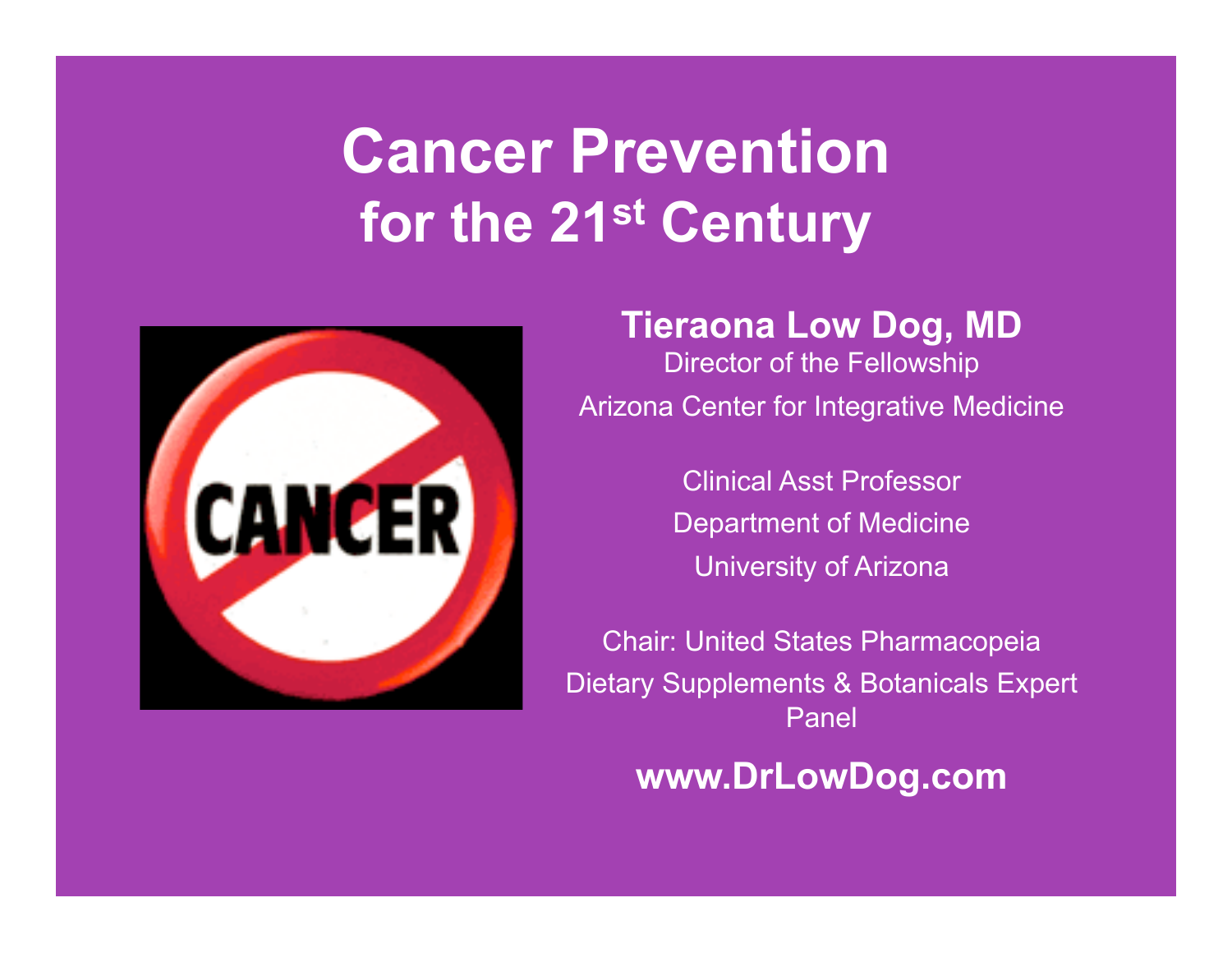# **Cancer Prevention for the 21st Century**



#### **Tieraona Low Dog, MD**

Director of the Fellowship Arizona Center for Integrative Medicine

> Clinical Asst Professor Department of Medicine University of Arizona

Chair: United States Pharmacopeia Dietary Supplements & Botanicals Expert Panel

### **www.DrLowDog.com**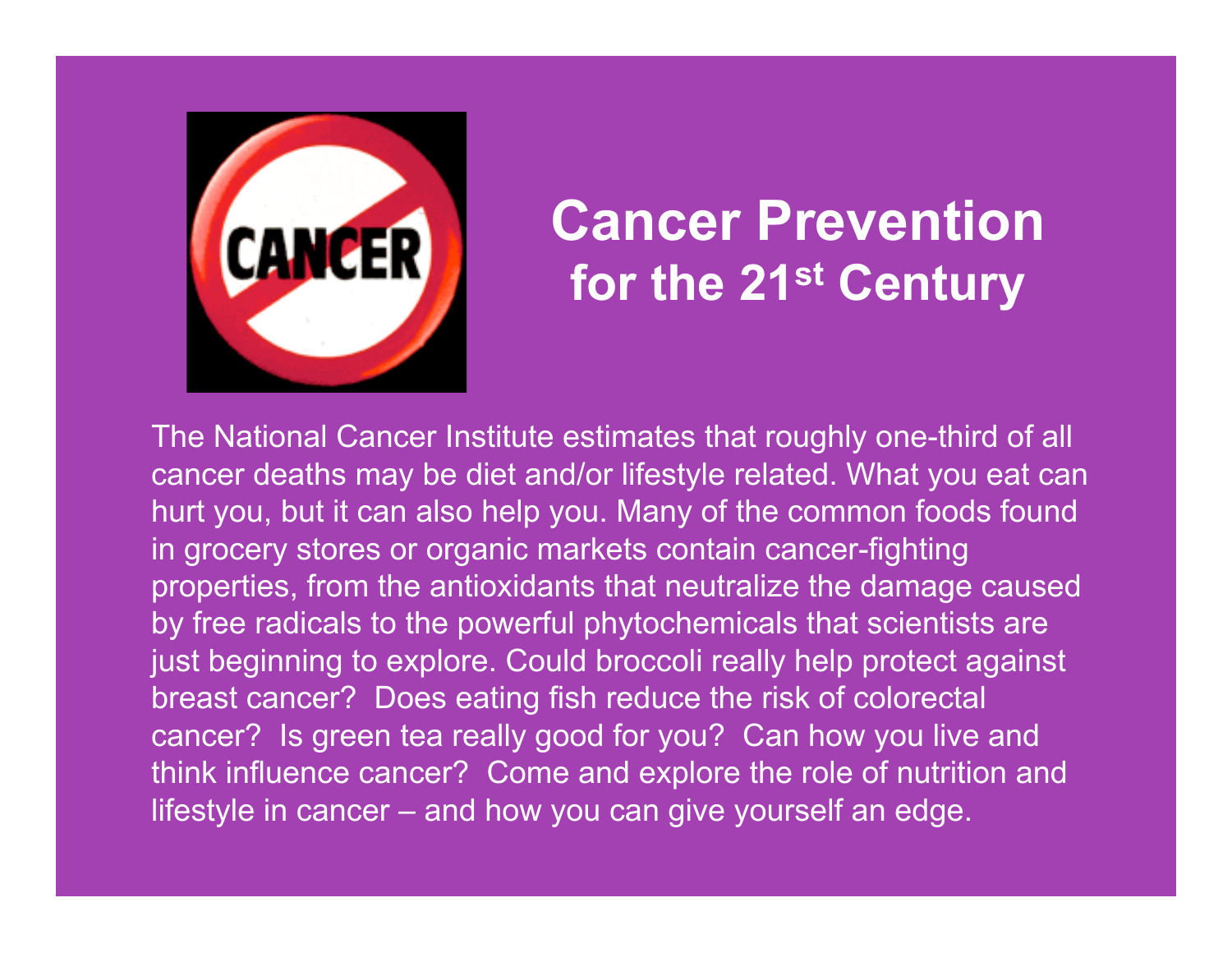

### **Cancer Prevention for the 21st Century**

The National Cancer Institute estimates that roughly one-third of all cancer deaths may be diet and/or lifestyle related. What you eat can hurt you, but it can also help you. Many of the common foods found in grocery stores or organic markets contain cancer-fighting properties, from the antioxidants that neutralize the damage caused by free radicals to the powerful phytochemicals that scientists are just beginning to explore. Could broccoli really help protect against breast cancer? Does eating fish reduce the risk of colorectal cancer? Is green tea really good for you? Can how you live and think influence cancer? Come and explore the role of nutrition and lifestyle in cancer – and how you can give yourself an edge.